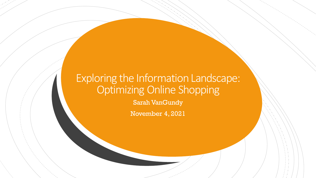#### Exploring the Information Landscape: Optimizing Online Shopping

Sarah VanGundy

November 4, 2021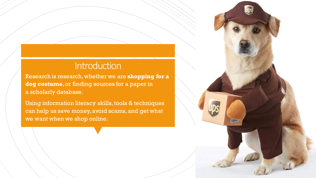#### **Introduction**

Research is research, whether we are **shopping for a dog costume**, or finding sources for a paper in a scholarly database.

Using information literacy skills, tools & techniques can help us save money, avoid scams, and get what we want when we shop online.

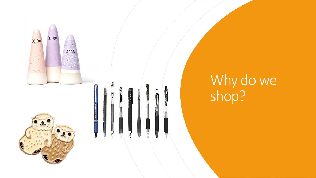





# Why do we shop?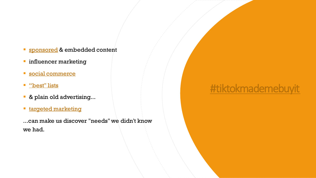- **Exponsored & embedded content**
- **·** influencer marketing
- **E** [social commerce](https://www.vox.com/the-goods/22346750/online-shopping-social-commerce-platforms)
- <u>["best" lists](https://www.lifehack.org/articles/money/30-awesome-online-shopping-sites-wish-known-earlier.html)</u>
- & plain old advertising...
- **<u>■ [targeted marketing](https://edu.gcfglobal.org/en/thenow/what-is-targeted-advertising/1/)</u>**

...can make us discover "needs" we didn't know we had.

### [#tiktokmademebuyit](https://www.tiktok.com/tag/tiktokmademebuyit)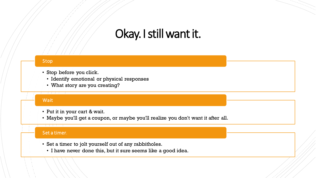### Okay. I still want it.

#### Stop

- Stop before you click.
	- Identify emotional or physical responses
	- What story are you creating?

#### **Wait**

- Put it in your cart & wait.
- Maybe you'll get a coupon, or maybe you'll realize you don't want it after all.

#### Set a timer.

- Set a timer to jolt yourself out of any rabbitholes.
	- I have never done this, but it sure seems like a good idea.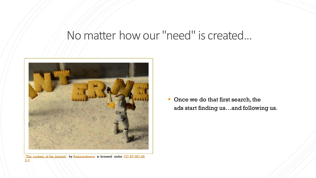### No matter how our "need" is created...



["The cookies of the internet](https://www.flickr.com/photos/45940879@N04/5277334834)["](https://creativecommons.org/licenses/by-nc-sa/2.0/?ref=ccsearch&atype=rich) by [Kalexanderson](https://www.flickr.com/photos/45940879@N04) is licensed under CC BY-NC-SA 2.0

**• Once we do that first search, the** ads start finding us...and following us.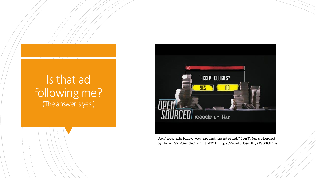#### Is that ad following me? (The answer is yes.)



Vox."How ads follow you around the internet." *YouTube,* uploaded by Sarah VanGundy, 22 Oct. 2021, https://youtu.be/HFyaW50GFOs.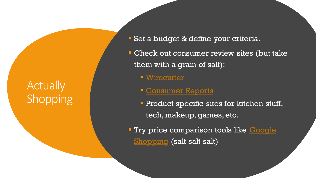### **Actually** Shopping

- Set a budget & define your criteria.
- **EXECK out consumer review sites (but take)** them with a grain of salt):
	- [Wirecutter](https://www.nytimes.com/wirecutter/)
	- **Example 2 [Consumer Reports](https://www.consumerreports.org/cro/index.htm)**
	- **Product specific sites for kitchen stuff,** tech, makeup, games, etc.
- **Try price comparison tools like Google** Shopping (salt salt salt)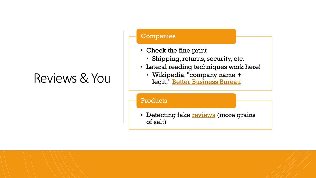## Reviews & You

#### Companies

- Check the fine print
	- Shipping, returns, security, etc.
- Lateral reading techniques work here!
	- Wikipedia, "company name + legit," [Better Business Bureau](https://www.bbb.org/ )

Products

• Detecting fake **[reviews](https://www.consumer.ftc.gov/articles/how-evaluate-online-reviews)** (more grains of salt)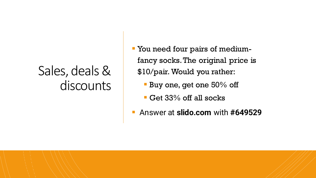## Sales, deals & discounts

- You need four pairs of mediumfancy socks. The original price is \$10/pair. Would you rather:
	- **Buy one, get one 50% off**
	- Get 33% off all socks
- Answer at **slido.com** with **#649529**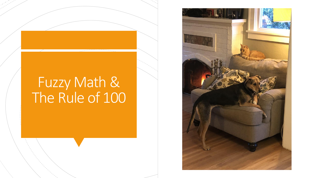# Fuzzy Math & The Rule of 100

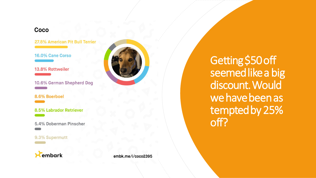#### Coco

27.8% American Pit Bull Terrier

16.0% Cane Corso

13.8% Rottweiler

10.6% German Shepherd Dog

8.6% Boerboel

8.5% Labrador Retriever

5.4% Doberman Pinscher

#### 9.3% Supermutt





Getting \$50 off seemed like a big discount. Would we have been as tempted by 25% off?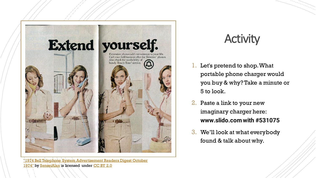

["1974 Bell Telephone System Advertisement Readers Digest October](https://www.flickr.com/photos/91591049@N00/13910538735)  1974" by [SenseiAlan](https://www.flickr.com/photos/91591049@N00) is licensed under [CC BY 2.0](https://creativecommons.org/licenses/by/2.0/?ref=ccsearch&atype=rich)

### **Activity**

- 1. Let's pretend to shop. What portable phone charger would you buy & why? Take a minute or 5 to look.
- 2. Paste a link to your new imaginary charger here: **www.slido.com with #531075**
- 3. We'll look at what everybody found & talk about why.